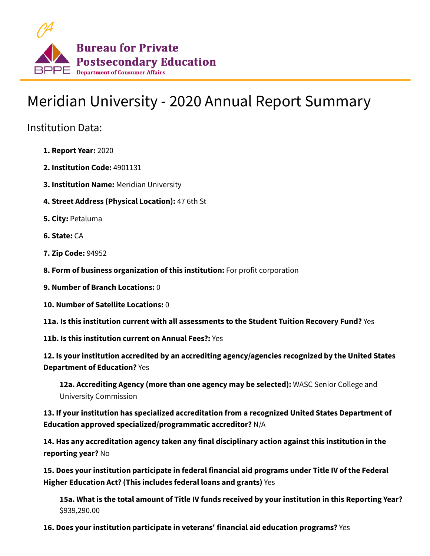

## Meridian University - 2020 Annual Report Summary

Institution Data:

- **1. Report Year:** 2020
- **2. Institution Code:** 4901131
- **3. Institution Name:** Meridian University
- **4. Street Address (Physical Location):** 47 6th St
- **5. City:** Petaluma
- **6. State:** CA
- **7. Zip Code:** 94952
- **8. Form of business organization of this institution:** For profit corporation
- **9. Number of Branch Locations:** 0
- **10. Number of Satellite Locations:** 0

**11a. Is this institution current with all assessments to the Student Tuition Recovery Fund?** Yes

**11b. Is this institution current on Annual Fees?:** Yes

**12. Is your institution accredited by an accrediting agency/agencies recognized by the United States Department of Education?** Yes

**12a. Accrediting Agency (more than one agency may be selected):** WASC Senior College and University Commission

**13. If your institution has specialized accreditation from a recognized United States Department of Education approved specialized/programmatic accreditor?** N/A

**14. Has any accreditation agency taken any final disciplinary action against this institution in the reporting year?** No

**15. Does your institution participate in federal financial aid programs under Title IV of the Federal Higher Education Act? (This includes federal loans and grants)** Yes

**15a. What is the total amount of Title IV funds received by your institution in this Reporting Year?** \$939,290.00

**16. Does your institution participate in veterans' financial aid education programs?** Yes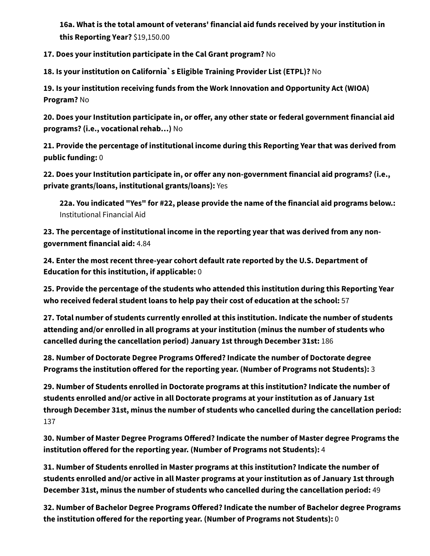**16a. What is the total amount of veterans' financial aid funds received by your institution in this Reporting Year?** \$19,150.00

**17. Does your institution participate in the Cal Grant program?** No

**18. Is your institution on California`s Eligible Training Provider List (ETPL)?** No

**19. Is your institution receiving funds from the Work Innovation and Opportunity Act (WIOA) Program?** No

**20. Does your Institution participate in, or offer, any other state or federal government financial aid programs? (i.e., vocational rehab…)** No

**21. Provide the percentage of institutional income during this Reporting Year that was derived from public funding:** 0

**22. Does your Institution participate in, or offer any non-government financial aid programs? (i.e., private grants/loans, institutional grants/loans):** Yes

**22a. You indicated "Yes" for #22, please provide the name of the financial aid programs below.:** Institutional Financial Aid

**23. The percentage of institutional income in the reporting year that was derived from any nongovernment financial aid:** 4.84

**24. Enter the most recent three-year cohort default rate reported by the U.S. Department of Education for this institution, if applicable:** 0

**25. Provide the percentage of the students who attended this institution during this Reporting Year who received federal student loans to help pay their cost of education at the school:** 57

**27. Total number of students currently enrolled at this institution. Indicate the number of students attending and/or enrolled in all programs at your institution (minus the number of students who cancelled during the cancellation period) January 1st through December 31st:** 186

**28. Number of Doctorate Degree Programs Offered? Indicate the number of Doctorate degree Programs the institution offered for the reporting year. (Number of Programs not Students):** 3

**29. Number of Students enrolled in Doctorate programs at this institution? Indicate the number of students enrolled and/or active in all Doctorate programs at your institution as of January 1st through December 31st, minus the number of students who cancelled during the cancellation period:** 137

**30. Number of Master Degree Programs Offered? Indicate the number of Master degree Programs the institution offered for the reporting year. (Number of Programs not Students):** 4

**31. Number of Students enrolled in Master programs at this institution? Indicate the number of students enrolled and/or active in all Master programs at your institution as of January 1st through December 31st, minus the number of students who cancelled during the cancellation period:** 49

**32. Number of Bachelor Degree Programs Offered? Indicate the number of Bachelor degree Programs the institution offered for the reporting year. (Number of Programs not Students):** 0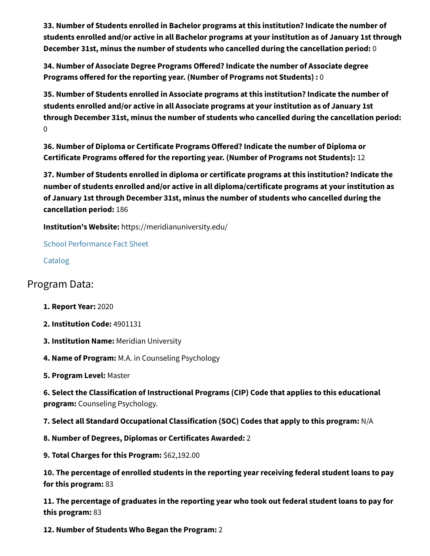**33. Number of Students enrolled in Bachelor programs at this institution? Indicate the number of students enrolled and/or active in all Bachelor programs at your institution as of January 1st through December 31st, minus the number of students who cancelled during the cancellation period:** 0

**34. Number of Associate Degree Programs Offered? Indicate the number of Associate degree Programs offered for the reporting year. (Number of Programs not Students) :** 0

**35. Number of Students enrolled in Associate programs at this institution? Indicate the number of students enrolled and/or active in all Associate programs at your institution as of January 1st through December 31st, minus the number of students who cancelled during the cancellation period:** 0

**36. Number of Diploma or Certificate Programs Offered? Indicate the number of Diploma or Certificate Programs offered for the reporting year. (Number of Programs not Students):** 12

**37. Number of Students enrolled in diploma or certificate programs at this institution? Indicate the number of students enrolled and/or active in all diploma/certificate programs at your institution as of January 1st through December 31st, minus the number of students who cancelled during the cancellation period:** 186

**Institution's Website:** https://meridianuniversity.edu/

[School Performance Fact Sheet](https://www.bppe.ca.gov/webapplications/annualReports/2020/document/B9E5CECD-87B4-410E-8040-585F0977808A)

[Catalog](https://www.bppe.ca.gov/webapplications/annualReports/2020/document/7D2BFE79-F00F-4321-BE00-A19D719EC837)

## Program Data:

- **1. Report Year:** 2020
- **2. Institution Code:** 4901131
- **3. Institution Name:** Meridian University
- **4. Name of Program:** M.A. in Counseling Psychology
- **5. Program Level:** Master

**6. Select the Classification of Instructional Programs (CIP) Code that applies to this educational program:** Counseling Psychology.

**7. Select all Standard Occupational Classification (SOC) Codes that apply to this program:** N/A

**8. Number of Degrees, Diplomas or Certificates Awarded:** 2

**9. Total Charges for this Program:** \$62,192.00

**10. The percentage of enrolled students in the reporting year receiving federal student loans to pay for this program:** 83

**11. The percentage of graduates in the reporting year who took out federal student loans to pay for this program:** 83

**12. Number of Students Who Began the Program:** 2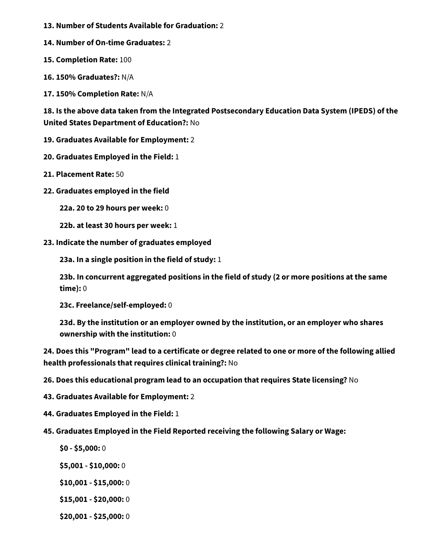- **13. Number of Students Available for Graduation:** 2
- **14. Number of On-time Graduates:** 2
- **15. Completion Rate:** 100
- **16. 150% Graduates?:** N/A
- **17. 150% Completion Rate:** N/A

**18. Is the above data taken from the Integrated Postsecondary Education Data System (IPEDS) of the United States Department of Education?:** No

- **19. Graduates Available for Employment:** 2
- **20. Graduates Employed in the Field:** 1
- **21. Placement Rate:** 50
- **22. Graduates employed in the field**

**22a. 20 to 29 hours per week:** 0

- **22b. at least 30 hours per week:** 1
- **23. Indicate the number of graduates employed**

**23a. In a single position in the field of study:** 1

**23b. In concurrent aggregated positions in the field of study (2 or more positions at the same time):** 0

**23c. Freelance/self-employed:** 0

**23d. By the institution or an employer owned by the institution, or an employer who shares ownership with the institution:** 0

**24. Does this "Program" lead to a certificate or degree related to one or more of the following allied health professionals that requires clinical training?:** No

- **26. Does this educational program lead to an occupation that requires State licensing?** No
- **43. Graduates Available for Employment:** 2
- **44. Graduates Employed in the Field:** 1
- **45. Graduates Employed in the Field Reported receiving the following Salary or Wage:**
	- **\$0 \$5,000:** 0
	- **\$5,001 \$10,000:** 0
	- **\$10,001 \$15,000:** 0
	- **\$15,001 \$20,000:** 0
	- **\$20,001 \$25,000:** 0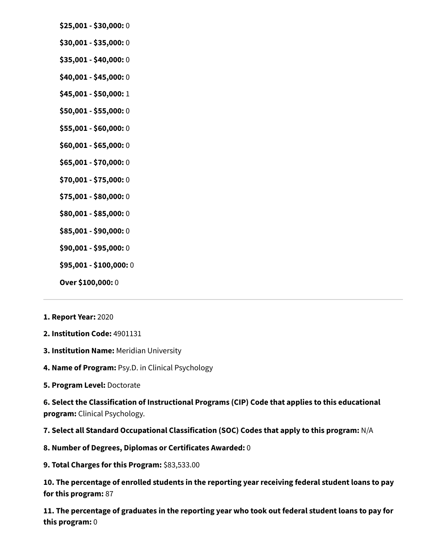- **\$25,001 \$30,000:** 0
- **\$30,001 \$35,000:** 0
- **\$35,001 \$40,000:** 0
- **\$40,001 \$45,000:** 0
- **\$45,001 \$50,000:** 1
- **\$50,001 \$55,000:** 0
- **\$55,001 \$60,000:** 0
- **\$60,001 \$65,000:** 0
- **\$65,001 \$70,000:** 0
- **\$70,001 \$75,000:** 0
- **\$75,001 \$80,000:** 0
- **\$80,001 \$85,000:** 0
- **\$85,001 \$90,000:** 0
- **\$90,001 \$95,000:** 0
- **\$95,001 \$100,000:** 0
- **Over \$100,000:** 0
- **1. Report Year:** 2020
- **2. Institution Code:** 4901131
- **3. Institution Name:** Meridian University
- **4. Name of Program:** Psy.D. in Clinical Psychology
- **5. Program Level:** Doctorate

**6. Select the Classification of Instructional Programs (CIP) Code that applies to this educational program:** Clinical Psychology.

**7. Select all Standard Occupational Classification (SOC) Codes that apply to this program:** N/A

- **8. Number of Degrees, Diplomas or Certificates Awarded:** 0
- **9. Total Charges for this Program:** \$83,533.00

**10. The percentage of enrolled students in the reporting year receiving federal student loans to pay for this program:** 87

**11. The percentage of graduates in the reporting year who took out federal student loans to pay for this program:** 0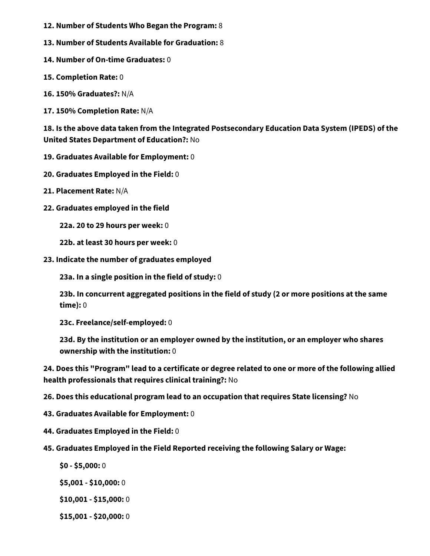- **12. Number of Students Who Began the Program:** 8
- **13. Number of Students Available for Graduation:** 8
- **14. Number of On-time Graduates:** 0
- **15. Completion Rate:** 0
- **16. 150% Graduates?:** N/A
- **17. 150% Completion Rate:** N/A

**18. Is the above data taken from the Integrated Postsecondary Education Data System (IPEDS) of the United States Department of Education?:** No

- **19. Graduates Available for Employment:** 0
- **20. Graduates Employed in the Field:** 0
- **21. Placement Rate:** N/A
- **22. Graduates employed in the field**

**22a. 20 to 29 hours per week:** 0

**22b. at least 30 hours per week:** 0

**23. Indicate the number of graduates employed**

**23a. In a single position in the field of study:** 0

**23b. In concurrent aggregated positions in the field of study (2 or more positions at the same time):** 0

**23c. Freelance/self-employed:** 0

**23d. By the institution or an employer owned by the institution, or an employer who shares ownership with the institution:** 0

**24. Does this "Program" lead to a certificate or degree related to one or more of the following allied health professionals that requires clinical training?:** No

**26. Does this educational program lead to an occupation that requires State licensing?** No

- **43. Graduates Available for Employment:** 0
- **44. Graduates Employed in the Field:** 0
- **45. Graduates Employed in the Field Reported receiving the following Salary or Wage:**
	- **\$0 \$5,000:** 0
	- **\$5,001 \$10,000:** 0
	- **\$10,001 \$15,000:** 0
	- **\$15,001 \$20,000:** 0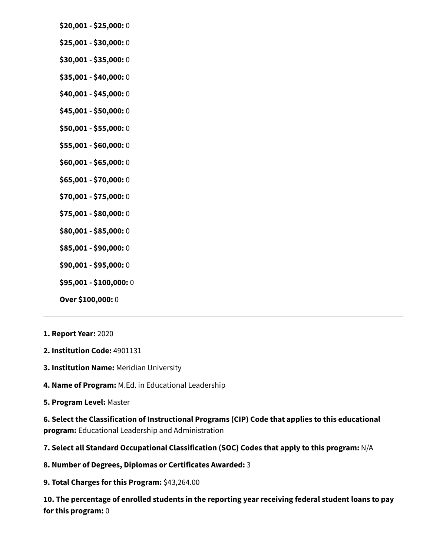- **\$20,001 \$25,000:** 0
- **\$25,001 \$30,000:** 0
- **\$30,001 \$35,000:** 0
- **\$35,001 \$40,000:** 0
- **\$40,001 \$45,000:** 0
- **\$45,001 \$50,000:** 0
- **\$50,001 \$55,000:** 0
- **\$55,001 \$60,000:** 0
- **\$60,001 \$65,000:** 0
- **\$65,001 \$70,000:** 0
- **\$70,001 \$75,000:** 0
- **\$75,001 \$80,000:** 0
- **\$80,001 \$85,000:** 0
- **\$85,001 \$90,000:** 0
- **\$90,001 \$95,000:** 0
- **\$95,001 \$100,000:** 0
- **Over \$100,000:** 0
- **1. Report Year:** 2020
- **2. Institution Code:** 4901131
- **3. Institution Name:** Meridian University
- **4. Name of Program:** M.Ed. in Educational Leadership
- **5. Program Level:** Master

**6. Select the Classification of Instructional Programs (CIP) Code that applies to this educational program:** Educational Leadership and Administration

**7. Select all Standard Occupational Classification (SOC) Codes that apply to this program:** N/A

- **8. Number of Degrees, Diplomas or Certificates Awarded:** 3
- **9. Total Charges for this Program:** \$43,264.00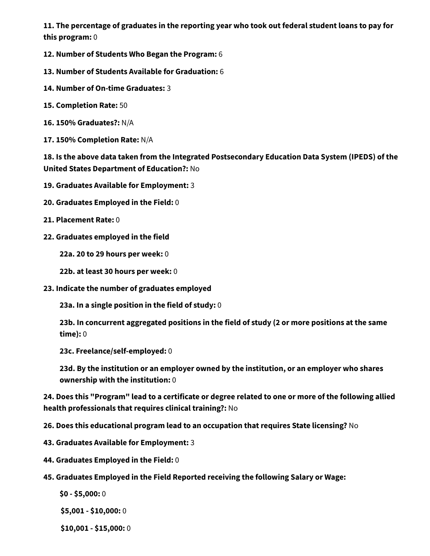- **12. Number of Students Who Began the Program:** 6
- **13. Number of Students Available for Graduation:** 6
- **14. Number of On-time Graduates:** 3
- **15. Completion Rate:** 50
- **16. 150% Graduates?:** N/A
- **17. 150% Completion Rate:** N/A

**18. Is the above data taken from the Integrated Postsecondary Education Data System (IPEDS) of the United States Department of Education?:** No

- **19. Graduates Available for Employment:** 3
- **20. Graduates Employed in the Field:** 0
- **21. Placement Rate:** 0
- **22. Graduates employed in the field**

**22a. 20 to 29 hours per week:** 0

- **22b. at least 30 hours per week:** 0
- **23. Indicate the number of graduates employed**

**23a. In a single position in the field of study:** 0

**23b. In concurrent aggregated positions in the field of study (2 or more positions at the same time):** 0

**23c. Freelance/self-employed:** 0

**23d. By the institution or an employer owned by the institution, or an employer who shares ownership with the institution:** 0

**24. Does this "Program" lead to a certificate or degree related to one or more of the following allied health professionals that requires clinical training?:** No

**26. Does this educational program lead to an occupation that requires State licensing?** No

- **43. Graduates Available for Employment:** 3
- **44. Graduates Employed in the Field:** 0
- **45. Graduates Employed in the Field Reported receiving the following Salary or Wage:**
	- **\$0 \$5,000:** 0

**\$5,001 - \$10,000:** 0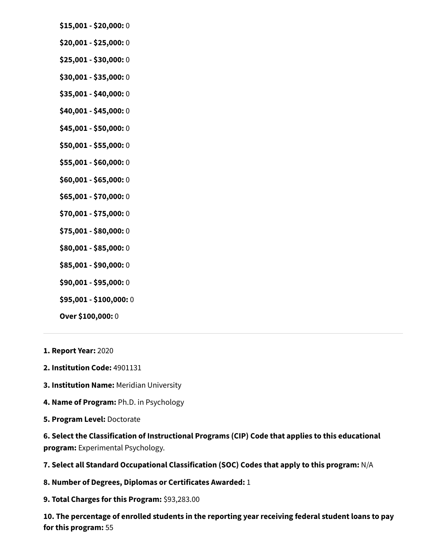- **\$15,001 \$20,000:** 0
- **\$20,001 \$25,000:** 0
- **\$25,001 \$30,000:** 0
- **\$30,001 \$35,000:** 0
- **\$35,001 \$40,000:** 0
- **\$40,001 \$45,000:** 0
- **\$45,001 \$50,000:** 0
- **\$50,001 \$55,000:** 0
- **\$55,001 \$60,000:** 0
- **\$60,001 \$65,000:** 0
- **\$65,001 \$70,000:** 0
- **\$70,001 \$75,000:** 0
- **\$75,001 \$80,000:** 0
- **\$80,001 \$85,000:** 0
- **\$85,001 \$90,000:** 0
- **\$90,001 \$95,000:** 0
- **\$95,001 \$100,000:** 0

- **1. Report Year:** 2020
- **2. Institution Code:** 4901131
- **3. Institution Name:** Meridian University
- **4. Name of Program:** Ph.D. in Psychology
- **5. Program Level:** Doctorate

**6. Select the Classification of Instructional Programs (CIP) Code that applies to this educational program:** Experimental Psychology.

**7. Select all Standard Occupational Classification (SOC) Codes that apply to this program:** N/A

- **8. Number of Degrees, Diplomas or Certificates Awarded:** 1
- **9. Total Charges for this Program:** \$93,283.00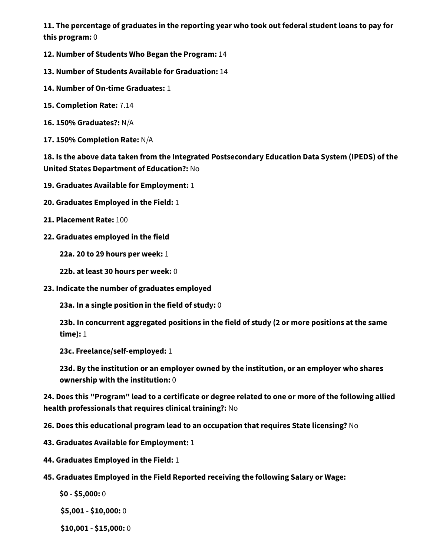- **12. Number of Students Who Began the Program:** 14
- **13. Number of Students Available for Graduation:** 14
- **14. Number of On-time Graduates:** 1
- **15. Completion Rate:** 7.14
- **16. 150% Graduates?:** N/A
- **17. 150% Completion Rate:** N/A

**18. Is the above data taken from the Integrated Postsecondary Education Data System (IPEDS) of the United States Department of Education?:** No

- **19. Graduates Available for Employment:** 1
- **20. Graduates Employed in the Field:** 1
- **21. Placement Rate:** 100
- **22. Graduates employed in the field**

**22a. 20 to 29 hours per week:** 1

- **22b. at least 30 hours per week:** 0
- **23. Indicate the number of graduates employed**

**23a. In a single position in the field of study:** 0

**23b. In concurrent aggregated positions in the field of study (2 or more positions at the same time):** 1

**23c. Freelance/self-employed:** 1

**23d. By the institution or an employer owned by the institution, or an employer who shares ownership with the institution:** 0

**24. Does this "Program" lead to a certificate or degree related to one or more of the following allied health professionals that requires clinical training?:** No

**26. Does this educational program lead to an occupation that requires State licensing?** No

- **43. Graduates Available for Employment:** 1
- **44. Graduates Employed in the Field:** 1
- **45. Graduates Employed in the Field Reported receiving the following Salary or Wage:**
	- **\$0 \$5,000:** 0

**\$5,001 - \$10,000:** 0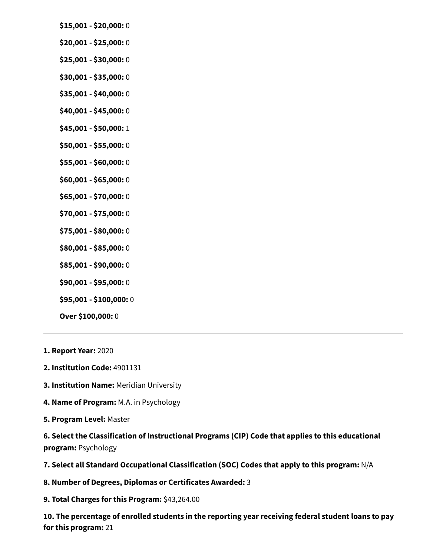- **\$15,001 \$20,000:** 0
- **\$20,001 \$25,000:** 0
- **\$25,001 \$30,000:** 0
- **\$30,001 \$35,000:** 0
- **\$35,001 \$40,000:** 0
- **\$40,001 \$45,000:** 0
- **\$45,001 \$50,000:** 1
- **\$50,001 \$55,000:** 0
- **\$55,001 \$60,000:** 0
- **\$60,001 \$65,000:** 0
- **\$65,001 \$70,000:** 0
- **\$70,001 \$75,000:** 0
- **\$75,001 \$80,000:** 0
- **\$80,001 \$85,000:** 0
- **\$85,001 \$90,000:** 0
- **\$90,001 \$95,000:** 0
- **\$95,001 \$100,000:** 0

- **1. Report Year:** 2020
- **2. Institution Code:** 4901131
- **3. Institution Name:** Meridian University
- **4. Name of Program:** M.A. in Psychology
- **5. Program Level:** Master

**6. Select the Classification of Instructional Programs (CIP) Code that applies to this educational program:** Psychology

**7. Select all Standard Occupational Classification (SOC) Codes that apply to this program:** N/A

- **8. Number of Degrees, Diplomas or Certificates Awarded:** 3
- **9. Total Charges for this Program:** \$43,264.00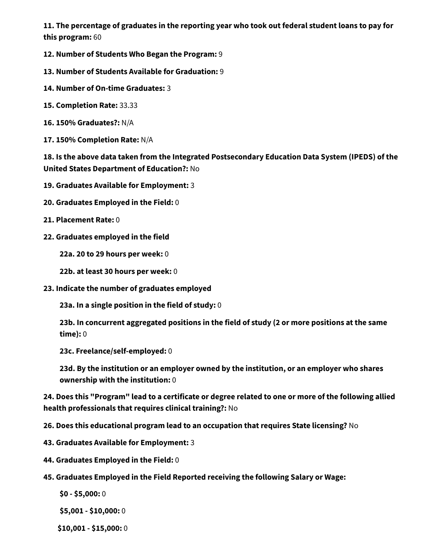- **12. Number of Students Who Began the Program:** 9
- **13. Number of Students Available for Graduation:** 9
- **14. Number of On-time Graduates:** 3
- **15. Completion Rate:** 33.33
- **16. 150% Graduates?:** N/A
- **17. 150% Completion Rate:** N/A

**18. Is the above data taken from the Integrated Postsecondary Education Data System (IPEDS) of the United States Department of Education?:** No

- **19. Graduates Available for Employment:** 3
- **20. Graduates Employed in the Field:** 0
- **21. Placement Rate:** 0
- **22. Graduates employed in the field**

**22a. 20 to 29 hours per week:** 0

- **22b. at least 30 hours per week:** 0
- **23. Indicate the number of graduates employed**

**23a. In a single position in the field of study:** 0

**23b. In concurrent aggregated positions in the field of study (2 or more positions at the same time):** 0

**23c. Freelance/self-employed:** 0

**23d. By the institution or an employer owned by the institution, or an employer who shares ownership with the institution:** 0

**24. Does this "Program" lead to a certificate or degree related to one or more of the following allied health professionals that requires clinical training?:** No

**26. Does this educational program lead to an occupation that requires State licensing?** No

- **43. Graduates Available for Employment:** 3
- **44. Graduates Employed in the Field:** 0
- **45. Graduates Employed in the Field Reported receiving the following Salary or Wage:**
	- **\$0 \$5,000:** 0

**\$5,001 - \$10,000:** 0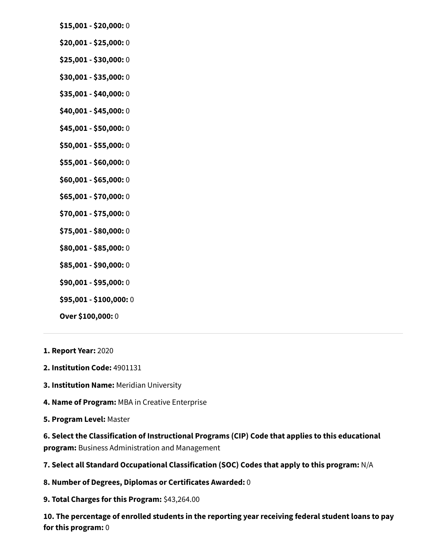- **\$15,001 \$20,000:** 0
- **\$20,001 \$25,000:** 0
- **\$25,001 \$30,000:** 0
- **\$30,001 \$35,000:** 0
- **\$35,001 \$40,000:** 0
- **\$40,001 \$45,000:** 0
- **\$45,001 \$50,000:** 0
- **\$50,001 \$55,000:** 0
- **\$55,001 \$60,000:** 0
- **\$60,001 \$65,000:** 0
- **\$65,001 \$70,000:** 0
- **\$70,001 \$75,000:** 0
- **\$75,001 \$80,000:** 0
- **\$80,001 \$85,000:** 0
- **\$85,001 \$90,000:** 0
- **\$90,001 \$95,000:** 0
- **\$95,001 \$100,000:** 0

- **1. Report Year:** 2020
- **2. Institution Code:** 4901131
- **3. Institution Name:** Meridian University
- **4. Name of Program:** MBA in Creative Enterprise
- **5. Program Level:** Master

**6. Select the Classification of Instructional Programs (CIP) Code that applies to this educational program:** Business Administration and Management

**7. Select all Standard Occupational Classification (SOC) Codes that apply to this program:** N/A

- **8. Number of Degrees, Diplomas or Certificates Awarded:** 0
- **9. Total Charges for this Program:** \$43,264.00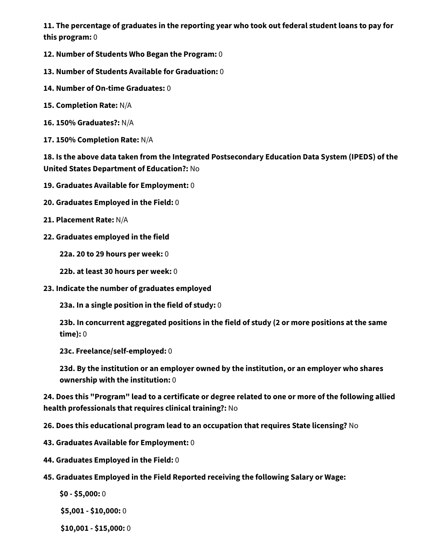- **12. Number of Students Who Began the Program:** 0
- **13. Number of Students Available for Graduation:** 0
- **14. Number of On-time Graduates:** 0
- **15. Completion Rate:** N/A
- **16. 150% Graduates?:** N/A
- **17. 150% Completion Rate:** N/A

**18. Is the above data taken from the Integrated Postsecondary Education Data System (IPEDS) of the United States Department of Education?:** No

- **19. Graduates Available for Employment:** 0
- **20. Graduates Employed in the Field:** 0
- **21. Placement Rate:** N/A
- **22. Graduates employed in the field**

**22a. 20 to 29 hours per week:** 0

- **22b. at least 30 hours per week:** 0
- **23. Indicate the number of graduates employed**

**23a. In a single position in the field of study:** 0

**23b. In concurrent aggregated positions in the field of study (2 or more positions at the same time):** 0

**23c. Freelance/self-employed:** 0

**23d. By the institution or an employer owned by the institution, or an employer who shares ownership with the institution:** 0

**24. Does this "Program" lead to a certificate or degree related to one or more of the following allied health professionals that requires clinical training?:** No

**26. Does this educational program lead to an occupation that requires State licensing?** No

- **43. Graduates Available for Employment:** 0
- **44. Graduates Employed in the Field:** 0
- **45. Graduates Employed in the Field Reported receiving the following Salary or Wage:**
	- **\$0 \$5,000:** 0

**\$5,001 - \$10,000:** 0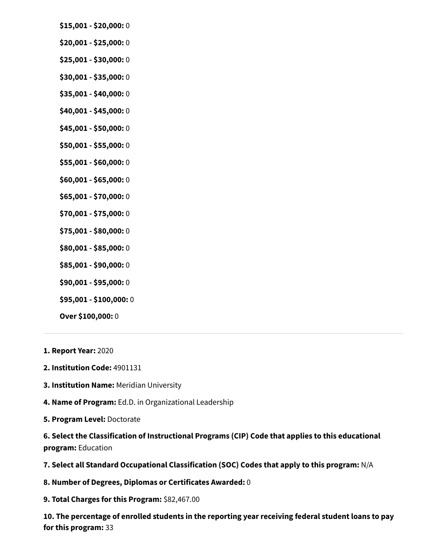- **\$15,001 \$20,000:** 0
- **\$20,001 \$25,000:** 0
- **\$25,001 \$30,000:** 0
- **\$30,001 \$35,000:** 0
- **\$35,001 \$40,000:** 0
- **\$40,001 \$45,000:** 0
- **\$45,001 \$50,000:** 0
- **\$50,001 \$55,000:** 0
- **\$55,001 \$60,000:** 0
- **\$60,001 \$65,000:** 0
- **\$65,001 \$70,000:** 0
- **\$70,001 \$75,000:** 0
- **\$75,001 \$80,000:** 0
- **\$80,001 \$85,000:** 0
- **\$85,001 \$90,000:** 0
- **\$90,001 \$95,000:** 0
- **\$95,001 \$100,000:** 0
- **Over \$100,000:** 0
- **1. Report Year:** 2020
- **2. Institution Code:** 4901131
- **3. Institution Name:** Meridian University
- **4. Name of Program:** Ed.D. in Organizational Leadership
- **5. Program Level:** Doctorate

**6. Select the Classification of Instructional Programs (CIP) Code that applies to this educational program:** Education

**7. Select all Standard Occupational Classification (SOC) Codes that apply to this program:** N/A

- **8. Number of Degrees, Diplomas or Certificates Awarded:** 0
- **9. Total Charges for this Program:** \$82,467.00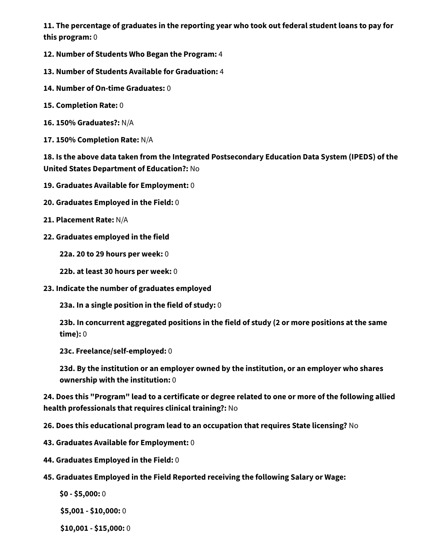- **12. Number of Students Who Began the Program:** 4
- **13. Number of Students Available for Graduation:** 4
- **14. Number of On-time Graduates:** 0
- **15. Completion Rate:** 0
- **16. 150% Graduates?:** N/A
- **17. 150% Completion Rate:** N/A

**18. Is the above data taken from the Integrated Postsecondary Education Data System (IPEDS) of the United States Department of Education?:** No

- **19. Graduates Available for Employment:** 0
- **20. Graduates Employed in the Field:** 0
- **21. Placement Rate:** N/A
- **22. Graduates employed in the field**

**22a. 20 to 29 hours per week:** 0

- **22b. at least 30 hours per week:** 0
- **23. Indicate the number of graduates employed**

**23a. In a single position in the field of study:** 0

**23b. In concurrent aggregated positions in the field of study (2 or more positions at the same time):** 0

**23c. Freelance/self-employed:** 0

**23d. By the institution or an employer owned by the institution, or an employer who shares ownership with the institution:** 0

**24. Does this "Program" lead to a certificate or degree related to one or more of the following allied health professionals that requires clinical training?:** No

**26. Does this educational program lead to an occupation that requires State licensing?** No

- **43. Graduates Available for Employment:** 0
- **44. Graduates Employed in the Field:** 0
- **45. Graduates Employed in the Field Reported receiving the following Salary or Wage:**
	- **\$0 \$5,000:** 0

**\$5,001 - \$10,000:** 0